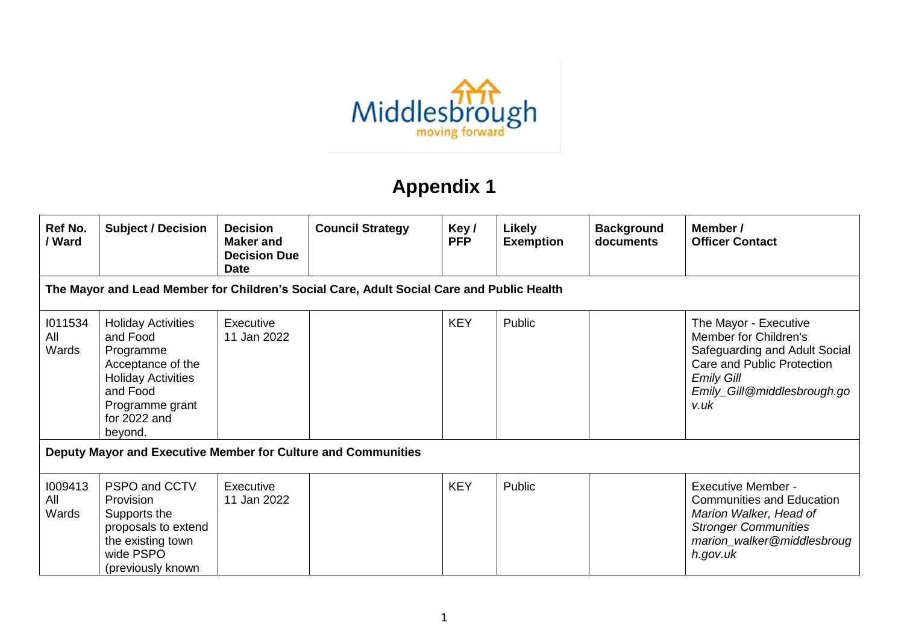

## **Appendix 1**

| Ref No.<br>/ Ward       | <b>Subject / Decision</b>                                                                                                                                      | <b>Decision</b><br><b>Maker</b> and<br><b>Decision Due</b><br><b>Date</b> | <b>Council Strategy</b>                                                                   | Key/<br><b>PFP</b> | Likely<br><b>Exemption</b> | <b>Background</b><br>documents | Member /<br><b>Officer Contact</b>                                                                                                                                        |
|-------------------------|----------------------------------------------------------------------------------------------------------------------------------------------------------------|---------------------------------------------------------------------------|-------------------------------------------------------------------------------------------|--------------------|----------------------------|--------------------------------|---------------------------------------------------------------------------------------------------------------------------------------------------------------------------|
|                         |                                                                                                                                                                |                                                                           | The Mayor and Lead Member for Children's Social Care, Adult Social Care and Public Health |                    |                            |                                |                                                                                                                                                                           |
| 1011534<br>All<br>Wards | <b>Holiday Activities</b><br>and Food<br>Programme<br>Acceptance of the<br><b>Holiday Activities</b><br>and Food<br>Programme grant<br>for 2022 and<br>beyond. | Executive<br>11 Jan 2022                                                  |                                                                                           | <b>KEY</b>         | Public                     |                                | The Mayor - Executive<br>Member for Children's<br>Safeguarding and Adult Social<br>Care and Public Protection<br><b>Emily Gill</b><br>Emily_Gill@middlesbrough.go<br>v.uk |
|                         | Deputy Mayor and Executive Member for Culture and Communities                                                                                                  |                                                                           |                                                                                           |                    |                            |                                |                                                                                                                                                                           |
| 1009413<br>All<br>Wards | PSPO and CCTV<br><b>Provision</b><br>Supports the<br>proposals to extend<br>the existing town<br>wide PSPO<br>(previously known                                | Executive<br>11 Jan 2022                                                  |                                                                                           | <b>KEY</b>         | Public                     |                                | <b>Executive Member -</b><br><b>Communities and Education</b><br>Marion Walker, Head of<br><b>Stronger Communities</b><br>marion_walker@middlesbroug<br>h.gov.uk          |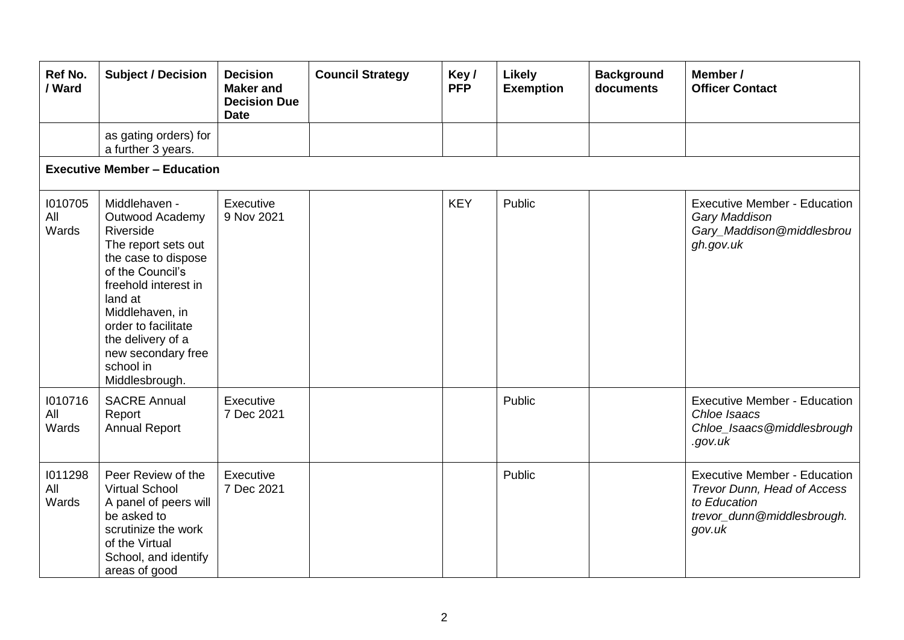| Ref No.<br>/ Ward       | <b>Subject / Decision</b>                                                                                                                                                                                                                                              | <b>Decision</b><br><b>Maker and</b><br><b>Decision Due</b><br><b>Date</b> | <b>Council Strategy</b> | Key/<br><b>PFP</b> | Likely<br><b>Exemption</b> | <b>Background</b><br>documents | Member /<br><b>Officer Contact</b>                                                                                         |
|-------------------------|------------------------------------------------------------------------------------------------------------------------------------------------------------------------------------------------------------------------------------------------------------------------|---------------------------------------------------------------------------|-------------------------|--------------------|----------------------------|--------------------------------|----------------------------------------------------------------------------------------------------------------------------|
|                         | as gating orders) for<br>a further 3 years.                                                                                                                                                                                                                            |                                                                           |                         |                    |                            |                                |                                                                                                                            |
|                         | <b>Executive Member - Education</b>                                                                                                                                                                                                                                    |                                                                           |                         |                    |                            |                                |                                                                                                                            |
| 1010705<br>All<br>Wards | Middlehaven -<br>Outwood Academy<br>Riverside<br>The report sets out<br>the case to dispose<br>of the Council's<br>freehold interest in<br>land at<br>Middlehaven, in<br>order to facilitate<br>the delivery of a<br>new secondary free<br>school in<br>Middlesbrough. | Executive<br>9 Nov 2021                                                   |                         | <b>KEY</b>         | Public                     |                                | <b>Executive Member - Education</b><br>Gary Maddison<br>Gary_Maddison@middlesbrou<br>gh.gov.uk                             |
| 1010716<br>All<br>Wards | <b>SACRE Annual</b><br>Report<br><b>Annual Report</b>                                                                                                                                                                                                                  | Executive<br>7 Dec 2021                                                   |                         |                    | Public                     |                                | <b>Executive Member - Education</b><br>Chloe Isaacs<br>Chloe_Isaacs@middlesbrough<br>.gov.uk                               |
| 1011298<br>All<br>Wards | Peer Review of the<br><b>Virtual School</b><br>A panel of peers will<br>be asked to<br>scrutinize the work<br>of the Virtual<br>School, and identify<br>areas of good                                                                                                  | Executive<br>7 Dec 2021                                                   |                         |                    | Public                     |                                | <b>Executive Member - Education</b><br>Trevor Dunn, Head of Access<br>to Education<br>trevor_dunn@middlesbrough.<br>gov.uk |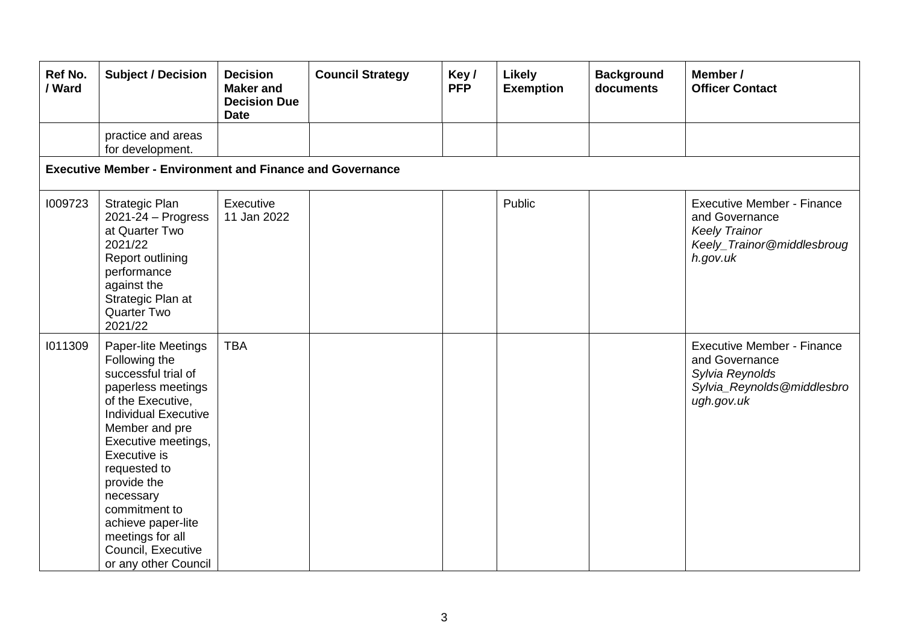| Ref No.<br>/ Ward | <b>Subject / Decision</b>                                                                                                                                                                                                                                                                                                                           | <b>Decision</b><br><b>Maker</b> and<br><b>Decision Due</b><br><b>Date</b> | <b>Council Strategy</b> | Key/<br><b>PFP</b> | <b>Likely</b><br><b>Exemption</b> | <b>Background</b><br>documents | Member /<br><b>Officer Contact</b>                                                                                    |  |  |  |  |
|-------------------|-----------------------------------------------------------------------------------------------------------------------------------------------------------------------------------------------------------------------------------------------------------------------------------------------------------------------------------------------------|---------------------------------------------------------------------------|-------------------------|--------------------|-----------------------------------|--------------------------------|-----------------------------------------------------------------------------------------------------------------------|--|--|--|--|
|                   | practice and areas<br>for development.                                                                                                                                                                                                                                                                                                              |                                                                           |                         |                    |                                   |                                |                                                                                                                       |  |  |  |  |
|                   | <b>Executive Member - Environment and Finance and Governance</b>                                                                                                                                                                                                                                                                                    |                                                                           |                         |                    |                                   |                                |                                                                                                                       |  |  |  |  |
| 1009723           | <b>Strategic Plan</b><br>$2021 - 24 - Progress$<br>at Quarter Two<br>2021/22<br>Report outlining<br>performance<br>against the<br>Strategic Plan at<br><b>Quarter Two</b><br>2021/22                                                                                                                                                                | Executive<br>11 Jan 2022                                                  |                         |                    | Public                            |                                | <b>Executive Member - Finance</b><br>and Governance<br><b>Keely Trainor</b><br>Keely_Trainor@middlesbroug<br>h.gov.uk |  |  |  |  |
| 1011309           | Paper-lite Meetings<br>Following the<br>successful trial of<br>paperless meetings<br>of the Executive,<br><b>Individual Executive</b><br>Member and pre<br>Executive meetings,<br>Executive is<br>requested to<br>provide the<br>necessary<br>commitment to<br>achieve paper-lite<br>meetings for all<br>Council, Executive<br>or any other Council | <b>TBA</b>                                                                |                         |                    |                                   |                                | <b>Executive Member - Finance</b><br>and Governance<br>Sylvia Reynolds<br>Sylvia_Reynolds@middlesbro<br>ugh.gov.uk    |  |  |  |  |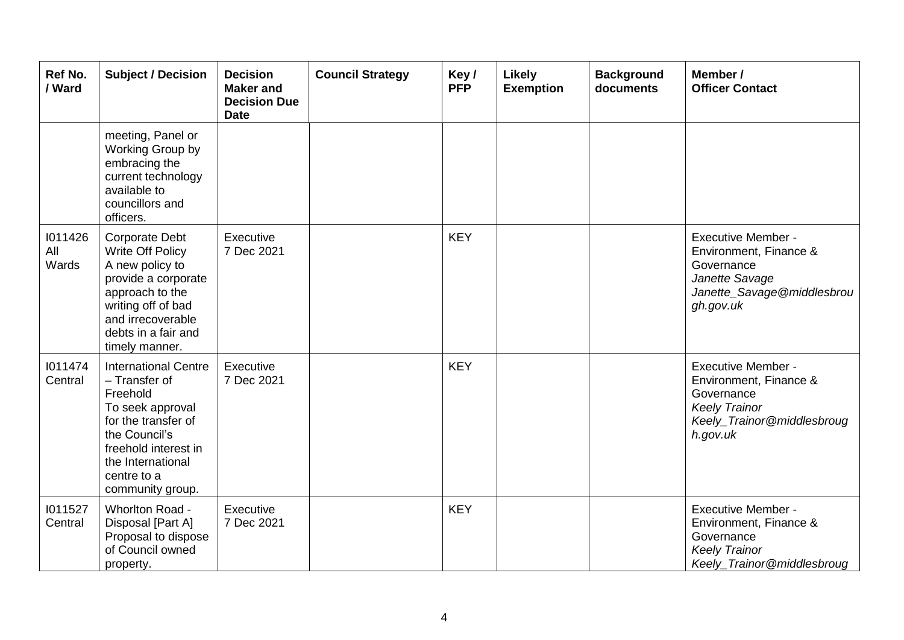| Ref No.<br>/ Ward       | <b>Subject / Decision</b>                                                                                                                                                                            | <b>Decision</b><br><b>Maker</b> and<br><b>Decision Due</b><br><b>Date</b> | <b>Council Strategy</b> | Key/<br><b>PFP</b> | Likely<br><b>Exemption</b> | <b>Background</b><br>documents | Member /<br><b>Officer Contact</b>                                                                                                  |
|-------------------------|------------------------------------------------------------------------------------------------------------------------------------------------------------------------------------------------------|---------------------------------------------------------------------------|-------------------------|--------------------|----------------------------|--------------------------------|-------------------------------------------------------------------------------------------------------------------------------------|
|                         | meeting, Panel or<br>Working Group by<br>embracing the<br>current technology<br>available to<br>councillors and<br>officers.                                                                         |                                                                           |                         |                    |                            |                                |                                                                                                                                     |
| 1011426<br>All<br>Wards | <b>Corporate Debt</b><br>Write Off Policy<br>A new policy to<br>provide a corporate<br>approach to the<br>writing off of bad<br>and irrecoverable<br>debts in a fair and<br>timely manner.           | Executive<br>7 Dec 2021                                                   |                         | <b>KEY</b>         |                            |                                | <b>Executive Member -</b><br>Environment, Finance &<br>Governance<br>Janette Savage<br>Janette_Savage@middlesbrou<br>gh.gov.uk      |
| 1011474<br>Central      | <b>International Centre</b><br>- Transfer of<br>Freehold<br>To seek approval<br>for the transfer of<br>the Council's<br>freehold interest in<br>the International<br>centre to a<br>community group. | Executive<br>7 Dec 2021                                                   |                         | <b>KEY</b>         |                            |                                | <b>Executive Member -</b><br>Environment, Finance &<br>Governance<br><b>Keely Trainor</b><br>Keely_Trainor@middlesbroug<br>h.gov.uk |
| 1011527<br>Central      | Whorlton Road -<br>Disposal [Part A]<br>Proposal to dispose<br>of Council owned<br>property.                                                                                                         | Executive<br>7 Dec 2021                                                   |                         | <b>KEY</b>         |                            |                                | <b>Executive Member -</b><br>Environment, Finance &<br>Governance<br><b>Keely Trainor</b><br>Keely_Trainor@middlesbroug             |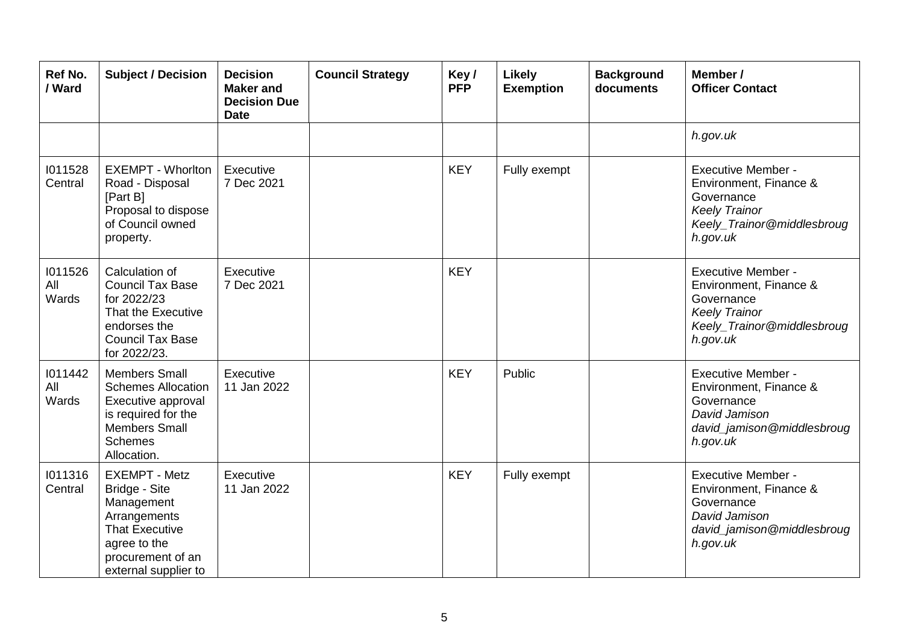| <b>Ref No.</b><br>/ Ward | <b>Subject / Decision</b>                                                                                                                                 | <b>Decision</b><br><b>Maker and</b><br><b>Decision Due</b><br><b>Date</b> | <b>Council Strategy</b> | Key/<br><b>PFP</b> | <b>Likely</b><br><b>Exemption</b> | <b>Background</b><br>documents | Member /<br><b>Officer Contact</b>                                                                                                  |
|--------------------------|-----------------------------------------------------------------------------------------------------------------------------------------------------------|---------------------------------------------------------------------------|-------------------------|--------------------|-----------------------------------|--------------------------------|-------------------------------------------------------------------------------------------------------------------------------------|
|                          |                                                                                                                                                           |                                                                           |                         |                    |                                   |                                | h.gov.uk                                                                                                                            |
| 1011528<br>Central       | <b>EXEMPT - Whorlton</b><br>Road - Disposal<br>[Part B]<br>Proposal to dispose<br>of Council owned<br>property.                                           | Executive<br>7 Dec 2021                                                   |                         | <b>KEY</b>         | Fully exempt                      |                                | <b>Executive Member -</b><br>Environment, Finance &<br>Governance<br><b>Keely Trainor</b><br>Keely_Trainor@middlesbroug<br>h.gov.uk |
| 1011526<br>All<br>Wards  | Calculation of<br><b>Council Tax Base</b><br>for 2022/23<br>That the Executive<br>endorses the<br><b>Council Tax Base</b><br>for 2022/23.                 | Executive<br>7 Dec 2021                                                   |                         | <b>KEY</b>         |                                   |                                | <b>Executive Member -</b><br>Environment, Finance &<br>Governance<br><b>Keely Trainor</b><br>Keely_Trainor@middlesbroug<br>h.gov.uk |
| 1011442<br>All<br>Wards  | <b>Members Small</b><br><b>Schemes Allocation</b><br>Executive approval<br>is required for the<br><b>Members Small</b><br><b>Schemes</b><br>Allocation.   | Executive<br>11 Jan 2022                                                  |                         | <b>KEY</b>         | Public                            |                                | <b>Executive Member -</b><br>Environment, Finance &<br>Governance<br>David Jamison<br>david_jamison@middlesbroug<br>h.gov.uk        |
| 1011316<br>Central       | <b>EXEMPT - Metz</b><br>Bridge - Site<br>Management<br>Arrangements<br><b>That Executive</b><br>agree to the<br>procurement of an<br>external supplier to | Executive<br>11 Jan 2022                                                  |                         | <b>KEY</b>         | Fully exempt                      |                                | <b>Executive Member -</b><br>Environment, Finance &<br>Governance<br>David Jamison<br>david_jamison@middlesbroug<br>h.gov.uk        |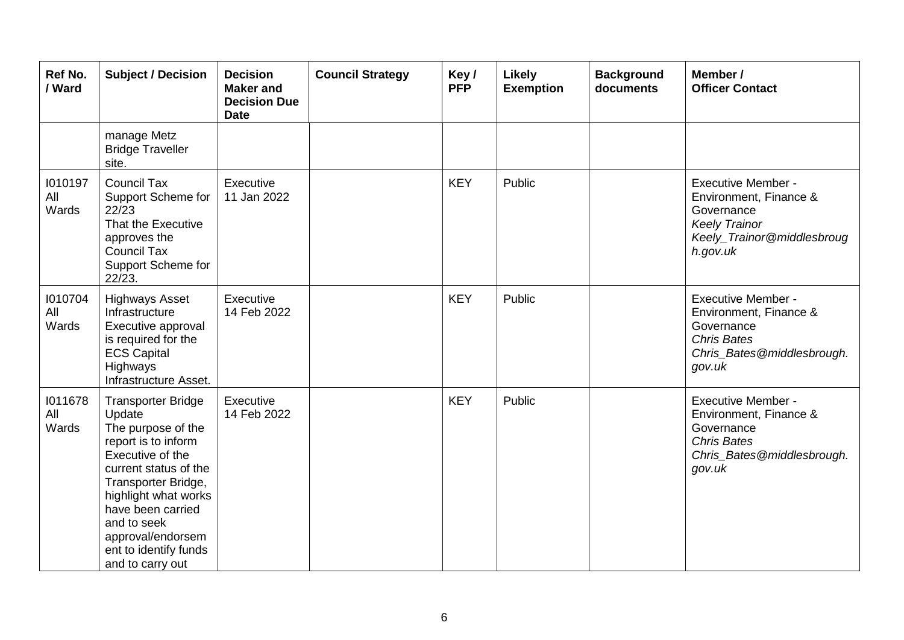| Ref No.<br>/ Ward       | <b>Subject / Decision</b>                                                                                                                                                                                                                                                          | <b>Decision</b><br><b>Maker</b> and<br><b>Decision Due</b><br><b>Date</b> | <b>Council Strategy</b> | Key/<br><b>PFP</b> | Likely<br><b>Exemption</b> | <b>Background</b><br>documents | Member /<br><b>Officer Contact</b>                                                                                                  |
|-------------------------|------------------------------------------------------------------------------------------------------------------------------------------------------------------------------------------------------------------------------------------------------------------------------------|---------------------------------------------------------------------------|-------------------------|--------------------|----------------------------|--------------------------------|-------------------------------------------------------------------------------------------------------------------------------------|
|                         | manage Metz<br><b>Bridge Traveller</b><br>site.                                                                                                                                                                                                                                    |                                                                           |                         |                    |                            |                                |                                                                                                                                     |
| 1010197<br>All<br>Wards | <b>Council Tax</b><br>Support Scheme for<br>22/23<br>That the Executive<br>approves the<br><b>Council Tax</b><br>Support Scheme for<br>22/23.                                                                                                                                      | Executive<br>11 Jan 2022                                                  |                         | <b>KEY</b>         | Public                     |                                | <b>Executive Member -</b><br>Environment, Finance &<br>Governance<br><b>Keely Trainor</b><br>Keely_Trainor@middlesbroug<br>h.gov.uk |
| 1010704<br>All<br>Wards | <b>Highways Asset</b><br>Infrastructure<br>Executive approval<br>is required for the<br><b>ECS Capital</b><br>Highways<br>Infrastructure Asset.                                                                                                                                    | Executive<br>14 Feb 2022                                                  |                         | <b>KEY</b>         | Public                     |                                | <b>Executive Member -</b><br>Environment, Finance &<br>Governance<br><b>Chris Bates</b><br>Chris_Bates@middlesbrough.<br>gov.uk     |
| 1011678<br>All<br>Wards | <b>Transporter Bridge</b><br>Update<br>The purpose of the<br>report is to inform<br>Executive of the<br>current status of the<br>Transporter Bridge,<br>highlight what works<br>have been carried<br>and to seek<br>approval/endorsem<br>ent to identify funds<br>and to carry out | Executive<br>14 Feb 2022                                                  |                         | <b>KEY</b>         | Public                     |                                | <b>Executive Member -</b><br>Environment, Finance &<br>Governance<br><b>Chris Bates</b><br>Chris_Bates@middlesbrough.<br>gov.uk     |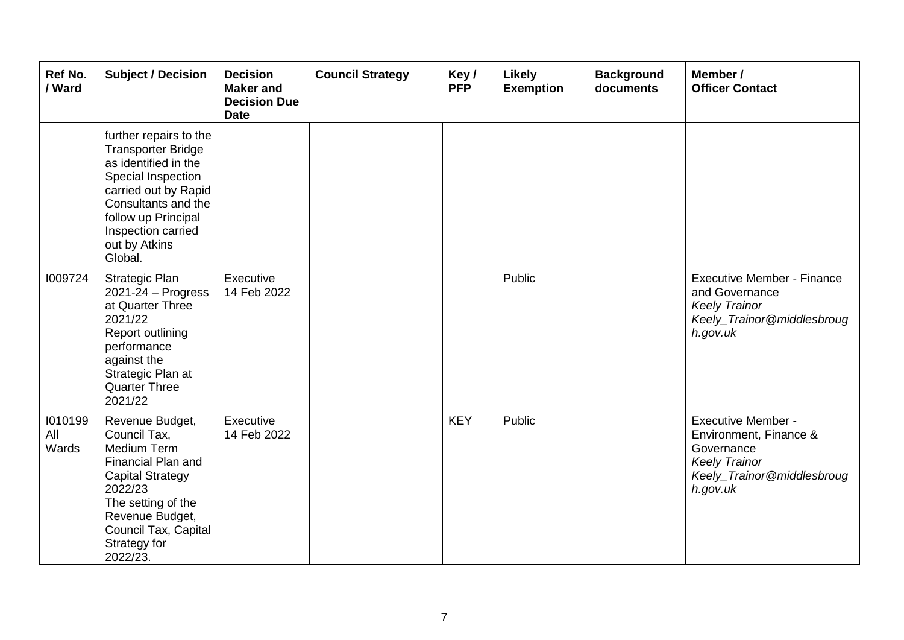| Ref No.<br>/ Ward       | <b>Subject / Decision</b>                                                                                                                                                                                                 | <b>Decision</b><br><b>Maker</b> and<br><b>Decision Due</b><br><b>Date</b> | <b>Council Strategy</b> | Key/<br><b>PFP</b> | <b>Likely</b><br><b>Exemption</b> | <b>Background</b><br>documents | Member /<br><b>Officer Contact</b>                                                                                                  |
|-------------------------|---------------------------------------------------------------------------------------------------------------------------------------------------------------------------------------------------------------------------|---------------------------------------------------------------------------|-------------------------|--------------------|-----------------------------------|--------------------------------|-------------------------------------------------------------------------------------------------------------------------------------|
|                         | further repairs to the<br><b>Transporter Bridge</b><br>as identified in the<br>Special Inspection<br>carried out by Rapid<br>Consultants and the<br>follow up Principal<br>Inspection carried<br>out by Atkins<br>Global. |                                                                           |                         |                    |                                   |                                |                                                                                                                                     |
| 1009724                 | <b>Strategic Plan</b><br>2021-24 - Progress<br>at Quarter Three<br>2021/22<br>Report outlining<br>performance<br>against the<br>Strategic Plan at<br><b>Quarter Three</b><br>2021/22                                      | Executive<br>14 Feb 2022                                                  |                         |                    | Public                            |                                | <b>Executive Member - Finance</b><br>and Governance<br><b>Keely Trainor</b><br>Keely_Trainor@middlesbroug<br>h.gov.uk               |
| 1010199<br>All<br>Wards | Revenue Budget,<br>Council Tax,<br>Medium Term<br>Financial Plan and<br><b>Capital Strategy</b><br>2022/23<br>The setting of the<br>Revenue Budget,<br>Council Tax, Capital<br>Strategy for<br>2022/23.                   | Executive<br>14 Feb 2022                                                  |                         | <b>KEY</b>         | Public                            |                                | <b>Executive Member -</b><br>Environment, Finance &<br>Governance<br><b>Keely Trainor</b><br>Keely_Trainor@middlesbroug<br>h.gov.uk |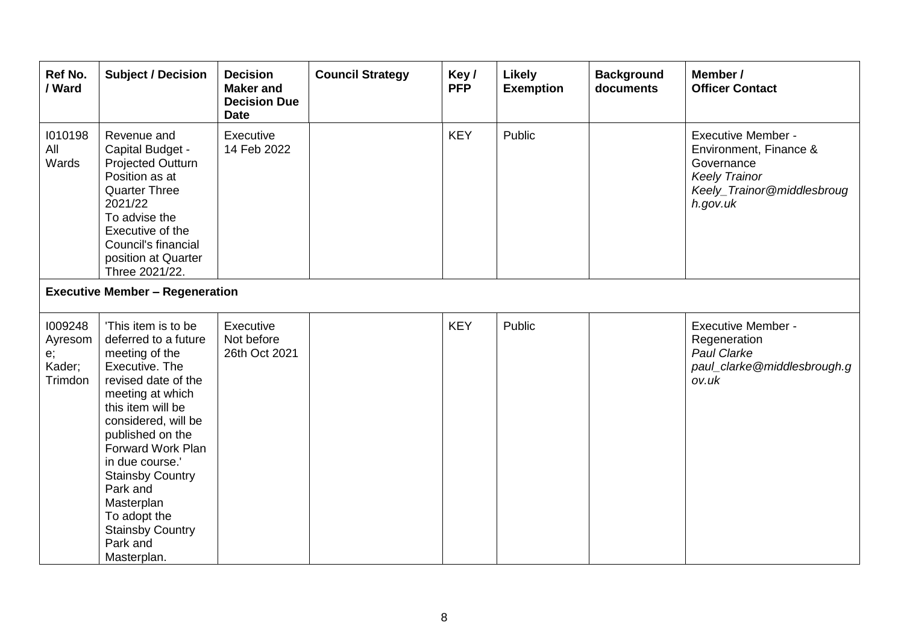| Ref No.<br>/ Ward                             | <b>Subject / Decision</b>                                                                                                                                                                                                                                                                                                                                     | <b>Decision</b><br><b>Maker</b> and<br><b>Decision Due</b><br><b>Date</b> | <b>Council Strategy</b> | Key/<br><b>PFP</b> | <b>Likely</b><br><b>Exemption</b> | <b>Background</b><br>documents | Member /<br><b>Officer Contact</b>                                                                                                  |
|-----------------------------------------------|---------------------------------------------------------------------------------------------------------------------------------------------------------------------------------------------------------------------------------------------------------------------------------------------------------------------------------------------------------------|---------------------------------------------------------------------------|-------------------------|--------------------|-----------------------------------|--------------------------------|-------------------------------------------------------------------------------------------------------------------------------------|
| 1010198<br>All<br>Wards                       | Revenue and<br>Capital Budget -<br>Projected Outturn<br>Position as at<br><b>Quarter Three</b><br>2021/22<br>To advise the<br>Executive of the<br>Council's financial<br>position at Quarter<br>Three 2021/22.                                                                                                                                                | Executive<br>14 Feb 2022                                                  |                         | <b>KEY</b>         | Public                            |                                | <b>Executive Member -</b><br>Environment, Finance &<br>Governance<br><b>Keely Trainor</b><br>Keely_Trainor@middlesbroug<br>h.gov.uk |
|                                               | <b>Executive Member - Regeneration</b>                                                                                                                                                                                                                                                                                                                        |                                                                           |                         |                    |                                   |                                |                                                                                                                                     |
| 1009248<br>Ayresom<br>e;<br>Kader;<br>Trimdon | 'This item is to be<br>deferred to a future<br>meeting of the<br>Executive, The<br>revised date of the<br>meeting at which<br>this item will be<br>considered, will be<br>published on the<br>Forward Work Plan<br>in due course.'<br><b>Stainsby Country</b><br>Park and<br>Masterplan<br>To adopt the<br><b>Stainsby Country</b><br>Park and<br>Masterplan. | Executive<br>Not before<br>26th Oct 2021                                  |                         | <b>KEY</b>         | Public                            |                                | <b>Executive Member -</b><br>Regeneration<br>Paul Clarke<br>paul_clarke@middlesbrough.g<br>ov.uk                                    |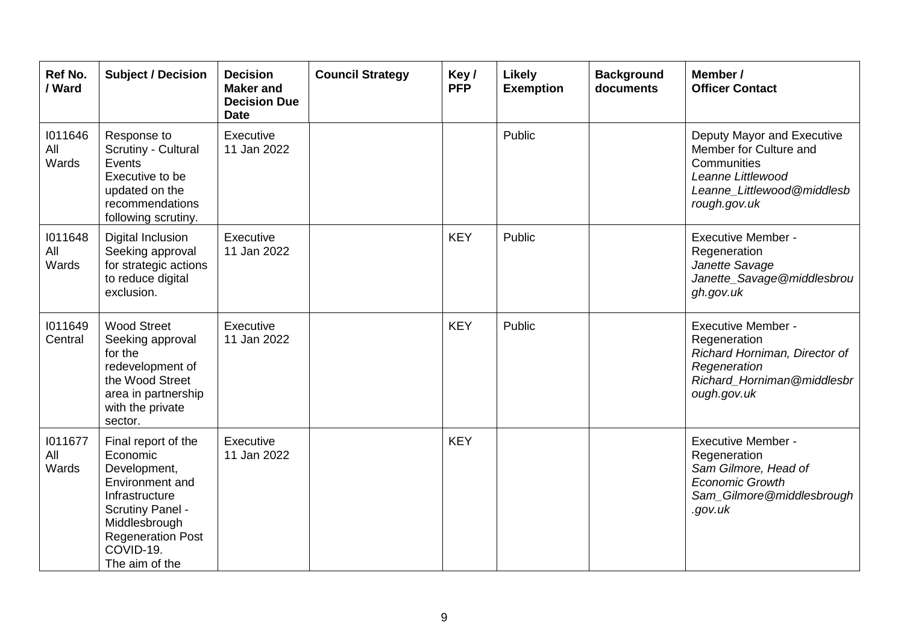| Ref No.<br>/ Ward       | <b>Subject / Decision</b>                                                                                                                                                                   | <b>Decision</b><br><b>Maker and</b><br><b>Decision Due</b><br><b>Date</b> | <b>Council Strategy</b> | Key/<br><b>PFP</b> | <b>Likely</b><br><b>Exemption</b> | <b>Background</b><br>documents | Member /<br><b>Officer Contact</b>                                                                                                      |
|-------------------------|---------------------------------------------------------------------------------------------------------------------------------------------------------------------------------------------|---------------------------------------------------------------------------|-------------------------|--------------------|-----------------------------------|--------------------------------|-----------------------------------------------------------------------------------------------------------------------------------------|
| 1011646<br>All<br>Wards | Response to<br>Scrutiny - Cultural<br>Events<br>Executive to be<br>updated on the<br>recommendations<br>following scrutiny.                                                                 | Executive<br>11 Jan 2022                                                  |                         |                    | Public                            |                                | Deputy Mayor and Executive<br>Member for Culture and<br>Communities<br>Leanne Littlewood<br>Leanne Littlewood@middlesb<br>rough.gov.uk  |
| 1011648<br>All<br>Wards | Digital Inclusion<br>Seeking approval<br>for strategic actions<br>to reduce digital<br>exclusion.                                                                                           | Executive<br>11 Jan 2022                                                  |                         | <b>KEY</b>         | Public                            |                                | <b>Executive Member -</b><br>Regeneration<br>Janette Savage<br>Janette_Savage@middlesbrou<br>gh.gov.uk                                  |
| 1011649<br>Central      | <b>Wood Street</b><br>Seeking approval<br>for the<br>redevelopment of<br>the Wood Street<br>area in partnership<br>with the private<br>sector.                                              | Executive<br>11 Jan 2022                                                  |                         | <b>KEY</b>         | Public                            |                                | <b>Executive Member -</b><br>Regeneration<br>Richard Horniman, Director of<br>Regeneration<br>Richard_Horniman@middlesbr<br>ough.gov.uk |
| 1011677<br>All<br>Wards | Final report of the<br>Economic<br>Development,<br>Environment and<br>Infrastructure<br><b>Scrutiny Panel -</b><br>Middlesbrough<br><b>Regeneration Post</b><br>COVID-19.<br>The aim of the | Executive<br>11 Jan 2022                                                  |                         | <b>KEY</b>         |                                   |                                | <b>Executive Member -</b><br>Regeneration<br>Sam Gilmore, Head of<br><b>Economic Growth</b><br>Sam_Gilmore@middlesbrough<br>.gov.uk     |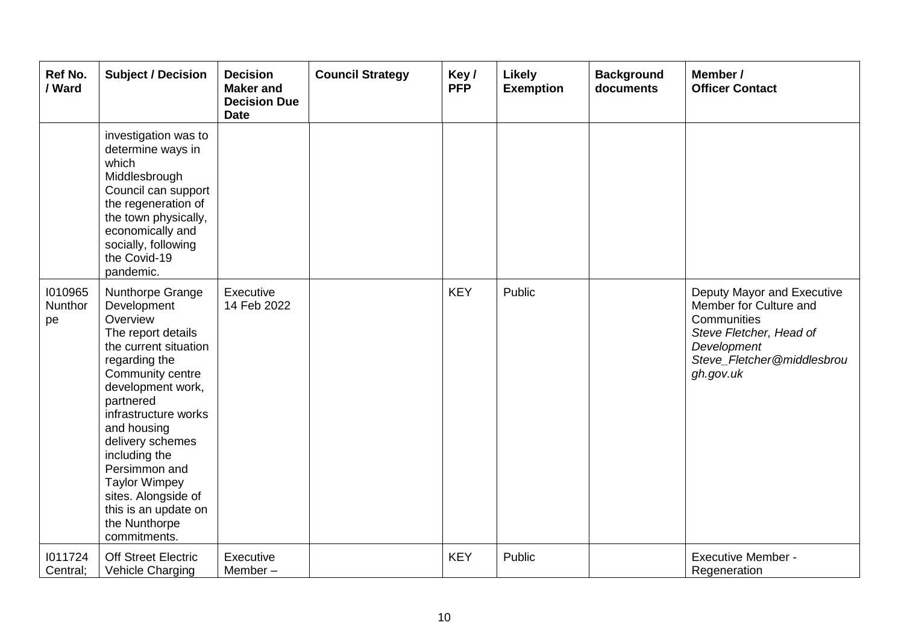| Ref No.<br>/ Ward        | <b>Subject / Decision</b>                                                                                                                                                                                                                                                                                                                                              | <b>Decision</b><br><b>Maker</b> and<br><b>Decision Due</b><br><b>Date</b> | <b>Council Strategy</b> | Key/<br><b>PFP</b> | Likely<br><b>Exemption</b> | <b>Background</b><br>documents | Member /<br><b>Officer Contact</b>                                                                                                                       |
|--------------------------|------------------------------------------------------------------------------------------------------------------------------------------------------------------------------------------------------------------------------------------------------------------------------------------------------------------------------------------------------------------------|---------------------------------------------------------------------------|-------------------------|--------------------|----------------------------|--------------------------------|----------------------------------------------------------------------------------------------------------------------------------------------------------|
|                          | investigation was to<br>determine ways in<br>which<br>Middlesbrough<br>Council can support<br>the regeneration of<br>the town physically,<br>economically and<br>socially, following<br>the Covid-19<br>pandemic.                                                                                                                                                      |                                                                           |                         |                    |                            |                                |                                                                                                                                                          |
| 1010965<br>Nunthor<br>pe | Nunthorpe Grange<br>Development<br>Overview<br>The report details<br>the current situation<br>regarding the<br>Community centre<br>development work,<br>partnered<br>infrastructure works<br>and housing<br>delivery schemes<br>including the<br>Persimmon and<br><b>Taylor Wimpey</b><br>sites. Alongside of<br>this is an update on<br>the Nunthorpe<br>commitments. | Executive<br>14 Feb 2022                                                  |                         | <b>KEY</b>         | Public                     |                                | Deputy Mayor and Executive<br>Member for Culture and<br>Communities<br>Steve Fletcher, Head of<br>Development<br>Steve_Fletcher@middlesbrou<br>gh.gov.uk |
| 1011724<br>Central;      | <b>Off Street Electric</b><br>Vehicle Charging                                                                                                                                                                                                                                                                                                                         | Executive<br>Member-                                                      |                         | <b>KEY</b>         | Public                     |                                | <b>Executive Member -</b><br>Regeneration                                                                                                                |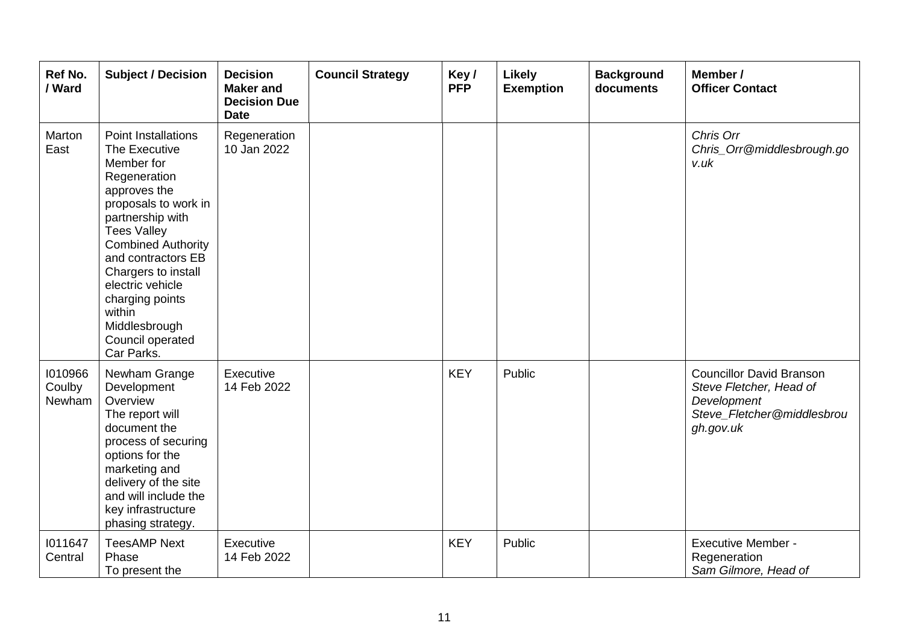| Ref No.<br>/ Ward           | <b>Subject / Decision</b>                                                                                                                                                                                                                                                                                                                 | <b>Decision</b><br><b>Maker and</b><br><b>Decision Due</b><br><b>Date</b> | <b>Council Strategy</b> | Key/<br><b>PFP</b> | <b>Likely</b><br><b>Exemption</b> | <b>Background</b><br>documents | Member /<br><b>Officer Contact</b>                                                                                   |
|-----------------------------|-------------------------------------------------------------------------------------------------------------------------------------------------------------------------------------------------------------------------------------------------------------------------------------------------------------------------------------------|---------------------------------------------------------------------------|-------------------------|--------------------|-----------------------------------|--------------------------------|----------------------------------------------------------------------------------------------------------------------|
| Marton<br>East              | <b>Point Installations</b><br>The Executive<br>Member for<br>Regeneration<br>approves the<br>proposals to work in<br>partnership with<br><b>Tees Valley</b><br><b>Combined Authority</b><br>and contractors EB<br>Chargers to install<br>electric vehicle<br>charging points<br>within<br>Middlesbrough<br>Council operated<br>Car Parks. | Regeneration<br>10 Jan 2022                                               |                         |                    |                                   |                                | Chris Orr<br>Chris_Orr@middlesbrough.go<br>v.uk                                                                      |
| 1010966<br>Coulby<br>Newham | Newham Grange<br>Development<br>Overview<br>The report will<br>document the<br>process of securing<br>options for the<br>marketing and<br>delivery of the site<br>and will include the<br>key infrastructure<br>phasing strategy.                                                                                                         | Executive<br>14 Feb 2022                                                  |                         | <b>KEY</b>         | Public                            |                                | <b>Councillor David Branson</b><br>Steve Fletcher, Head of<br>Development<br>Steve_Fletcher@middlesbrou<br>gh.gov.uk |
| 1011647<br>Central          | <b>TeesAMP Next</b><br>Phase<br>To present the                                                                                                                                                                                                                                                                                            | Executive<br>14 Feb 2022                                                  |                         | <b>KEY</b>         | Public                            |                                | <b>Executive Member -</b><br>Regeneration<br>Sam Gilmore, Head of                                                    |